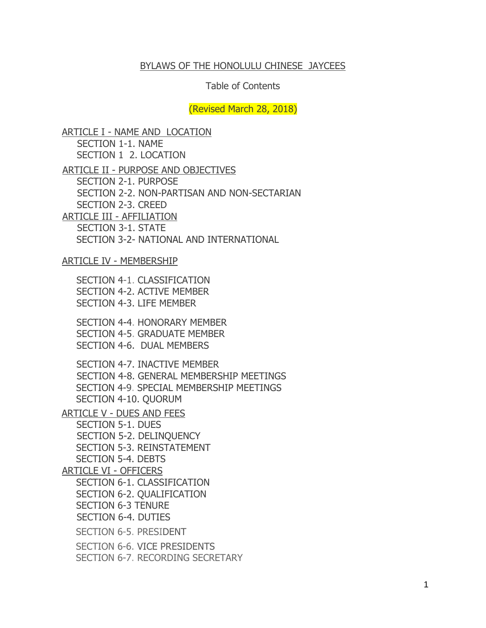#### BYLAWS OF THE HONOLULU CHINESE JAYCEES

#### Table of Contents

(Revised March 28, 2018)

ARTICLE I - NAME AND LOCATION SECTION 1-1. NAME SECTION 1 2. LOCATION ARTICLE II - PURPOSE AND OBJECTIVES SECTION 2-1. PURPOSE SECTION 2-2. NON-PARTISAN AND NON-SECTARIAN SECTION 2-3. CREED ARTICLE III - AFFILIATION SECTION 3-1. STATE SECTION 3-2- NATIONAL AND INTERNATIONAL ARTICLE IV - MEMBERSHIP SECTION 4-1. CLASSIFICATION SECTION 4-2. ACTIVE MEMBER SECTION 4-3. LIFE MEMBER SECTION 4-4. HONORARY MEMBER SECTION 4-5. GRADUATE MEMBER SECTION 4-6. DUAL MEMBERS SECTION 4-7. INACTIVE MEMBER SECTION 4-8. GENERAL MEMBERSHIP MEETINGS SECTION 4-9. SPECIAL MEMBERSHIP MEETINGS SECTION 4-10. QUORUM ARTICLE V - DUES AND FEES SECTION 5-1. DUES SECTION 5-2. DELINQUENCY SECTION 5-3. REINSTATEMENT SECTION 5-4. DEBTS ARTICLE VI - OFFICERS SECTION 6-1. CLASSIFICATION SECTION 6-2. QUALIFICATION SECTION 6-3 TENURE SECTION 6-4. DUTIES SECTION 6-5. PRESIDENT SECTION 6-6. VICE PRESIDENTS

SECTION 6-7. RECORDING SECRETARY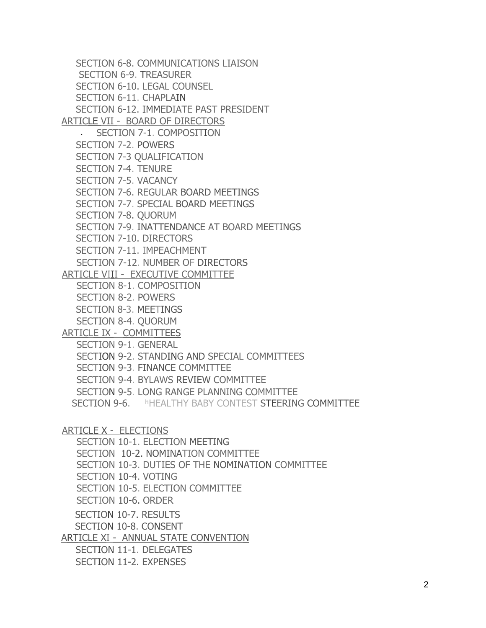SECTION 6-8. COMMUNICATIONS LIAISON SECTION 6-9. TREASURER SECTION 6-10. LEGAL COUNSEL SECTION 6-11. CHAPLAIN SECTION 6-12. IMMEDIATE PAST PRESIDENT ARTICLE VII - BOARD OF DIRECTORS SECTION 7-1. COMPOSITION SECTION 7-2. POWERS SECTION 7-3 QUALIFICATION SECTION 7-4. TENURE SECTION 7-5. VACANCY SECTION 7-6. REGULAR BOARD MEETINGS SECTION 7-7. SPECIAL BOARD MEETINGS SECTION 7-8. QUORUM SECTION 7-9. INATTENDANCE AT BOARD MEETINGS SECTION 7-10. DIRECTORS SECTION 7-11. IMPEACHMENT SECTION 7-12. NUMBER OF DIRECTORS ARTICLE VIII - EXECUTIVE COMMITTEE SECTION 8-1. COMPOSITION SECTION 8-2. POWERS SECTION 8-3. MEETINGS SECTION 8-4. QUORUM ARTICLE IX - COMMITTEES SECTION 9-1. GENERAL SECTION 9-2. STANDING AND SPECIAL COMMITTEES SECTION 9-3. FINANCE COMMITTEE SECTION 9-4. BYLAWS REVIEW COMMITTEE SECTION 9-5. LONG RANGE PLANNING COMMITTEE SECTION 9-6. hHEALTHY BABY CONTEST STEERING COMMITTEE ARTICLE X - ELECTIONS

SECTION 10-1. ELECTION MEETING SECTION 10-2. NOMINATION COMMITTEE SECTION 10-3. DUTIES OF THE NOMINATION COMMITTEE SECTION 10-4. VOTING SECTION 10-5. ELECTION COMMITTEE SECTION 10-6. ORDER SECTION 10-7. RESULTS SECTION 10-8. CONSENT ARTICLE XI - ANNUAL STATE CONVENTION SECTION 11-1. DELEGATES

SECTION 11-2. EXPENSES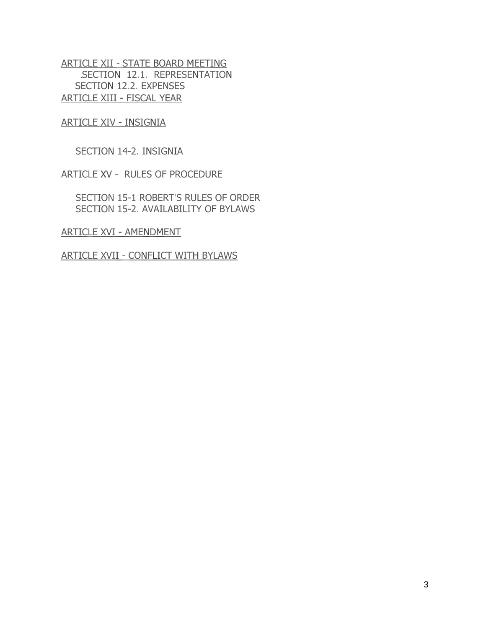ARTICLE XII - STATE BOARD MEETING SECTION 12.1. REPRESENTATION SECTION 12.2. EXPENSES ARTICLE XIII - FISCAL YEAR

ARTICLE XIV - INSIGNIA

SECTION 14-2. INSIGNIA

ARTICLE XV - RULES OF PROCEDURE

SECTION 15-1 ROBERT'S RULES OF ORDER SECTION 15-2. AVAILABILITY OF BYLAWS

ARTICLE XVI - AMENDMENT

ARTICLE XVII - CONFLICT WITH BYLAWS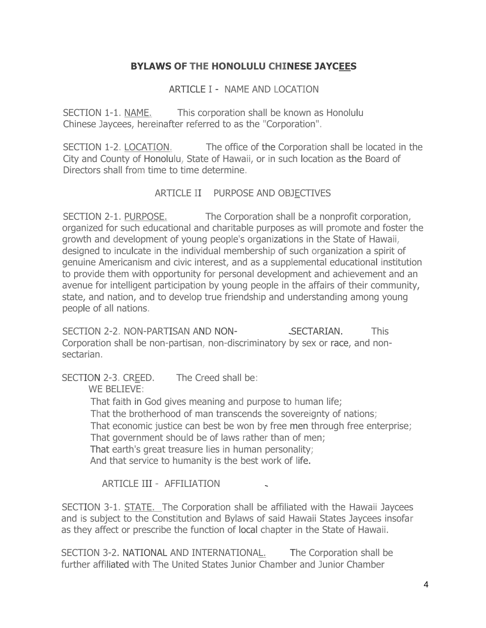## **BYLAWS OF THE HONOLULU CHINESE JAYCEES**

ARTICLE I - NAME AND LOCATION

SECTION 1-1. NAME. This corporation shall be known as Honolulu Chinese Jaycees, hereinafter referred to as the "Corporation".

SECTION 1-2. LOCATION. The office of the Corporation shall be located in the City and County of Honolulu, State of Hawaii, or in such location as the Board of Directors shall from time to time determine.

#### ARTICLE II PURPOSE AND OBJECTIVES

SECTION 2-1. PURPOSE. The Corporation shall be a nonprofit corporation, organized for such educational and charitable purposes as will promote and foster the growth and development of young people's organizations in the State of Hawaii, designed to inculcate in the individual membership of such organization a spirit of genuine Americanism and civic interest, and as a supplemental educational institution to provide them with opportunity for personal development and achievement and an avenue for intelligent participation by young people in the affairs of their community, state, and nation, and to develop true friendship and understanding among young people of all nations.

SECTION 2-2. NON-PARTISAN AND NON- SECTARIAN. This Corporation shall be non-partisan, non-discriminatory by sex or race, and nonsectarian.

SECTION 2-3. CREED. The Creed shall be:

WE BELIEVE:

That faith in God gives meaning and purpose to human life; That the brotherhood of man transcends the sovereignty of nations; That economic justice can best be won by free men through free enterprise; That government should be of laws rather than of men; That earth's great treasure lies in human personality; And that service to humanity is the best work of life.

ARTICLE III - AFFILIATION

SECTION 3-1. STATE. The Corporation shall be affiliated with the Hawaii Jaycees and is subject to the Constitution and Bylaws of said Hawaii States Jaycees insofar as they affect or prescribe the function of local chapter in the State of Hawaii.

SECTION 3-2. NATIONAL AND INTERNATIONAL. The Corporation shall be further affiliated with The United States Junior Chamber and Junior Chamber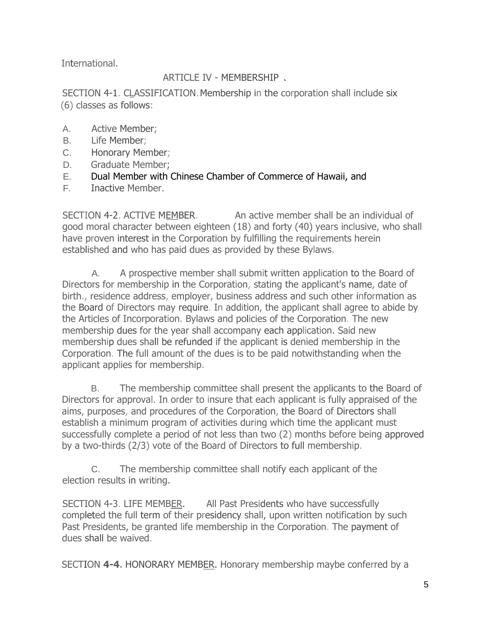International.

# ARTICLE IV - MEMBERSHIP

SECTION 4-1. CLASSIFICATION. Membership in the corporation shall include six (6) classes as follows:

- A. Active Member;
- B. Life Member;
- C. Honorary Member;
- D. Graduate Member;
- E. Dual Member with Chinese Chamber of Commerce of Hawaii, and
- F. Inactive Member.

SECTION 4-2. ACTIVE MEMBER. An active member shall be an individual of good moral character between eighteen (18) and forty (40) years inclusive, who shall have proven interest in the Corporation by fulfilling the requirements herein established and who has paid dues as provided by these Bylaws.

A. A prospective member shall submit written application to the Board of Directors for membership in the Corporation, stating the applicant's name, date of birth., residence address, employer, business address and such other information as the Board of Directors may require. In addition, the applicant shall agree to abide by the Articles of Incorporation. Bylaws and policies of the Corporation. The new membership dues for the year shall accompany each application. Said new membership dues shall be refunded if the applicant is denied membership in the Corporation. The full amount of the dues is to be paid notwithstanding when the applicant applies for membership.

B. The membership committee shall present the applicants to the Board of Directors for approval. In order to insure that each applicant is fully appraised of the aims, purposes, and procedures of the Corporation, the Board of Directors shall establish a minimum program of activities during which time the applicant must successfully complete a period of not less than two (2) months before being approved by a two-thirds (2/3) vote of the Board of Directors to full membership.

C. The membership committee shall notify each applicant of the election results in writing.

SECTION 4-3. LIFE MEMBER. All Past Presidents who have successfully completed the full term of their presidency shall, upon written notification by such Past Presidents, be granted life membership in the Corporation. The payment of dues shall be waived.

SECTION **4-4.** HONORARY MEMBER. Honorary membership maybe conferred by a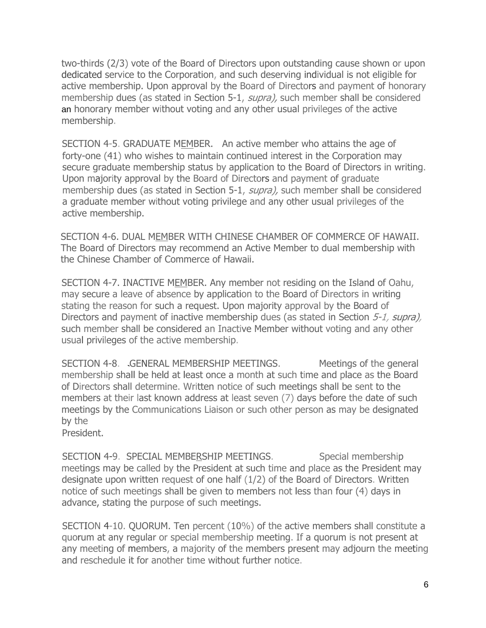two-thirds (2/3) vote of the Board of Directors upon outstanding cause shown or upon dedicated service to the Corporation, and such deserving individual is not eligible for active membership. Upon approval by the Board of Directors and payment of honorary membership dues (as stated in Section 5-1, *supra)*, such member shall be considered an honorary member without voting and any other usual privileges of the active membership.

SECTION 4-5. GRADUATE MEMBER. An active member who attains the age of forty-one (41) who wishes to maintain continued interest in the Corporation may secure graduate membership status by application to the Board of Directors in writing. Upon majority approval by the Board of Directors and payment of graduate membership dues (as stated in Section 5-1, *supra)*, such member shall be considered a graduate member without voting privilege and any other usual privileges of the active membership.

SECTION 4-6. DUAL MEMBER WITH CHINESE CHAMBER OF COMMERCE OF HAWAII. The Board of Directors may recommend an Active Member to dual membership with the Chinese Chamber of Commerce of Hawaii.

SECTION 4-7. INACTIVE MEMBER. Any member not residing on the Island of Oahu, may secure a leave of absence by application to the Board of Directors in writing stating the reason for such a request. Upon majority approval by the Board of Directors and payment of inactive membership dues (as stated in Section 5-1, supra), such member shall be considered an Inactive Member without voting and any other usual privileges of the active membership.

SECTION 4-8. GENERAL MEMBERSHIP MEETINGS. Meetings of the general membership shall be held at least once a month at such time and place as the Board of Directors shall determine. Written notice of such meetings shall be sent to the members at their last known address at least seven (7) days before the date of such meetings by the Communications Liaison or such other person as may be designated by the

President.

SECTION 4-9. SPECIAL MEMBERSHIP MEETINGS. Special membership meetings may be called by the President at such time and place as the President may designate upon written request of one half (1/2) of the Board of Directors. Written notice of such meetings shall be given to members not less than four (4) days in advance, stating the purpose of such meetings.

SECTION 4-10. QUORUM. Ten percent (10%) of the active members shall constitute a quorum at any regular or special membership meeting. If a quorum is not present at any meeting of members, a majority of the members present may adjourn the meeting and reschedule it for another time without further notice.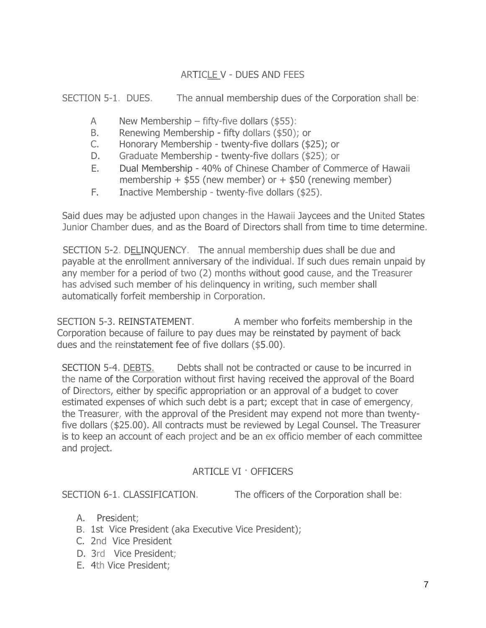## ARTICLE V - DUES AND FEES

SECTION 5-1. DUES. The annual membership dues of the Corporation shall be:

- A New Membership fifty-five dollars  $(\$55)$ :
- B. Renewing Membership fifty dollars (\$50); or
- C. Honorary Membership twenty-five dollars (\$25); or
- D. Graduate Membership twenty-five dollars (\$25); or
- E. Dual Membership 40% of Chinese Chamber of Commerce of Hawaii membership  $+$  \$55 (new member) or  $+$  \$50 (renewing member)
- F. Inactive Membership twenty-five dollars (\$25).

Said dues may be adjusted upon changes in the Hawaii Jaycees and the United States Junior Chamber dues, and as the Board of Directors shall from time to time determine.

SECTION 5-2. DELINQUENCY. The annual membership dues shall be due and payable at the enrollment anniversary of the individual. If such dues remain unpaid by any member for a period of two (2) months without good cause, and the Treasurer has advised such member of his delinquency in writing, such member shall automatically forfeit membership in Corporation.

SECTION 5-3. REINSTATEMENT. A member who forfeits membership in the Corporation because of failure to pay dues may be reinstated by payment of back dues and the reinstatement fee of five dollars (\$5.00).

SECTION 5-4. DEBTS. Debts shall not be contracted or cause to be incurred in the name of the Corporation without first having received the approval of the Board of Directors, either by specific appropriation or an approval of a budget to cover estimated expenses of which such debt is a part; except that in case of emergency, the Treasurer, with the approval of the President may expend not more than twentyfive dollars (\$25.00). All contracts must be reviewed by Legal Counsel. The Treasurer is to keep an account of each project and be an ex officio member of each committee and project.

### ARTICLE VI · OFFICERS

SECTION 6-1. CLASSIFICATION. The officers of the Corporation shall be:

- A. President;
- B. 1st Vice President (aka Executive Vice President);
- C. 2nd Vice President
- D. 3rd Vice President;
- E. 4th Vice President;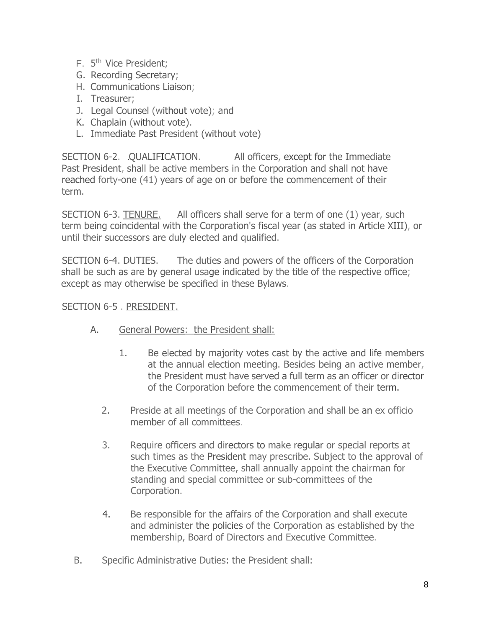- F. 5<sup>th</sup> Vice President;
- G. Recording Secretary;
- H. Communications Liaison;
- I. Treasurer;
- J. Legal Counsel (without vote); and
- K. Chaplain (without vote).
- L. Immediate Past President (without vote)

SECTION 6-2. QUALIFICATION. All officers, except for the Immediate Past President, shall be active members in the Corporation and shall not have reached forty-one (41) years of age on or before the commencement of their term.

SECTION 6-3. TENURE. All officers shall serve for a term of one (1) year, such term being coincidental with the Corporation's fiscal year (as stated in Article XIII), or until their successors are duly elected and qualified.

SECTION 6-4. DUTIES. The duties and powers of the officers of the Corporation shall be such as are by general usage indicated by the title of the respective office; except as may otherwise be specified in these Bylaws.

SECTION 6-5 . PRESIDENT.

- A. General Powers: the President shall:
	- 1. Be elected by majority votes cast by the active and life members at the annual election meeting. Besides being an active member, the President must have served a full term as an officer or director of the Corporation before the commencement of their term.
	- 2. Preside at all meetings of the Corporation and shall be an ex officio member of all committees.
	- 3. Require officers and directors to make regular or special reports at such times as the President may prescribe. Subject to the approval of the Executive Committee, shall annually appoint the chairman for standing and special committee or sub-committees of the Corporation.
	- 4. Be responsible for the affairs of the Corporation and shall execute and administer the policies of the Corporation as established by the membership, Board of Directors and Executive Committee.
- B. Specific Administrative Duties: the President shall: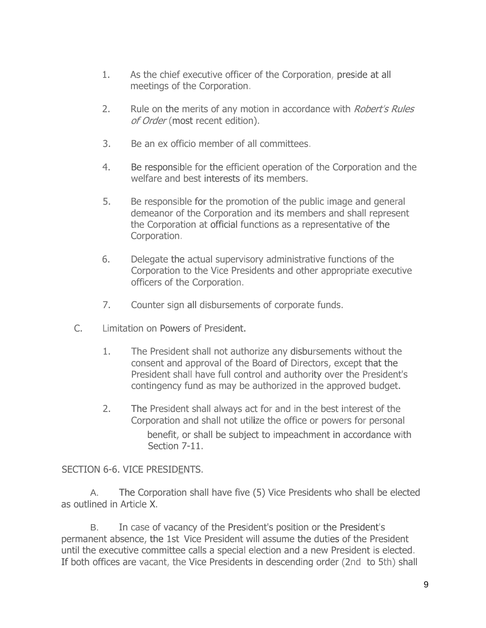- 1. As the chief executive officer of the Corporation, preside at all meetings of the Corporation.
- 2. Rule on the merits of any motion in accordance with *Robert's Rules* of Order (most recent edition).
- 3. Be an ex officio member of all committees.
- 4. Be responsible for the efficient operation of the Corporation and the welfare and best interests of its members.
- 5. Be responsible for the promotion of the public image and general demeanor of the Corporation and its members and shall represent the Corporation at official functions as a representative of the Corporation.
- 6. Delegate the actual supervisory administrative functions of the Corporation to the Vice Presidents and other appropriate executive officers of the Corporation.
- 7. Counter sign all disbursements of corporate funds.
- C. Limitation on Powers of President.
	- 1. The President shall not authorize any disbursements without the consent and approval of the Board of Directors, except that the President shall have full control and authority over the President's contingency fund as may be authorized in the approved budget.
	- 2. The President shall always act for and in the best interest of the Corporation and shall not utilize the office or powers for personal benefit, or shall be subject to impeachment in accordance with Section 7-11.

#### SECTION 6-6. VICE PRESIDENTS.

A. The Corporation shall have five (5) Vice Presidents who shall be elected as outlined in Article X.

B. In case of vacancy of the President's position or the President's permanent absence, the 1st Vice President will assume the duties of the President until the executive committee calls a special election and a new President is elected. If both offices are vacant, the Vice Presidents in descending order (2nd to 5th) shall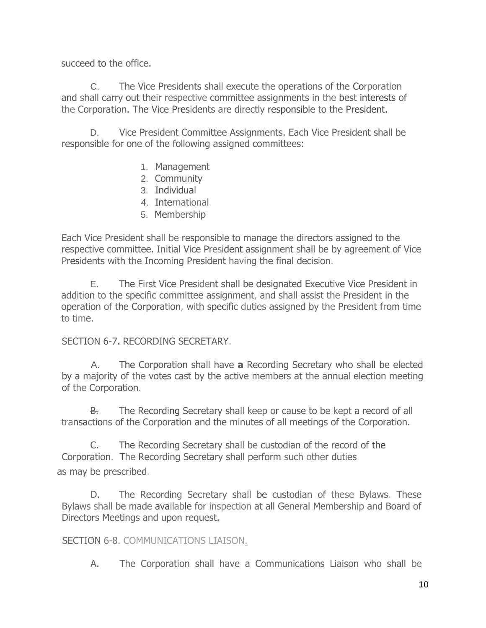succeed to the office.

C. The Vice Presidents shall execute the operations of the Corporation and shall carry out their respective committee assignments in the best interests of the Corporation. The Vice Presidents are directly responsible to the President.

D. Vice President Committee Assignments. Each Vice President shall be responsible for one of the following assigned committees:

- 1. Management
- 2. Community
- 3. Individual
- 4. International
- 5. Membership

Each Vice President shall be responsible to manage the directors assigned to the respective committee. Initial Vice President assignment shall be by agreement of Vice Presidents with the Incoming President having the final decision.

E. The First Vice President shall be designated Executive Vice President in addition to the specific committee assignment, and shall assist the President in the operation of the Corporation, with specific duties assigned by the President from time to time.

### SECTION 6-7. RECORDING SECRETARY.

A. The Corporation shall have **a** Recording Secretary who shall be elected by a majority of the votes cast by the active members at the annual election meeting of the Corporation.

B. The Recording Secretary shall keep or cause to be kept a record of all transactions of the Corporation and the minutes of all meetings of the Corporation.

C. The Recording Secretary shall be custodian of the record of the Corporation. The Recording Secretary shall perform such other duties as may be prescribed.

D. The Recording Secretary shall be custodian of these Bylaws. These Bylaws shall be made available for inspection at all General Membership and Board of Directors Meetings and upon request.

## SECTION 6-8. COMMUNICATIONS LIAISON.

A. The Corporation shall have a Communications Liaison who shall be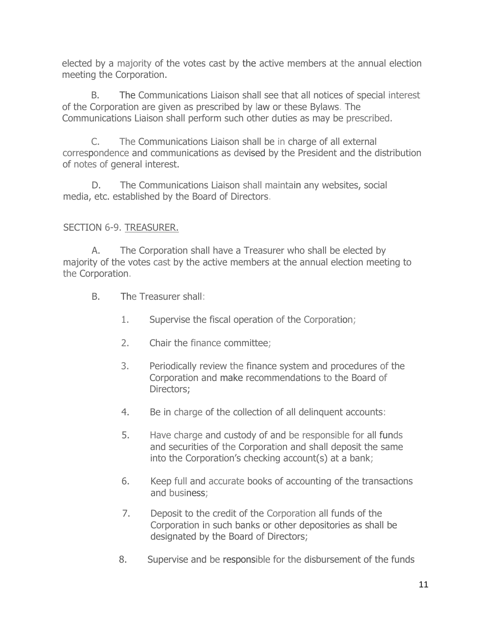elected by a majority of the votes cast by the active members at the annual election meeting the Corporation.

B. The Communications Liaison shall see that all notices of special interest of the Corporation are given as prescribed by law or these Bylaws. The Communications Liaison shall perform such other duties as may be prescribed.

C. The Communications Liaison shall be in charge of all external correspondence and communications as devised by the President and the distribution of notes of general interest.

D. The Communications Liaison shall maintain any websites, social media, etc. established by the Board of Directors.

## SECTION 6-9. TREASURER.

A. The Corporation shall have a Treasurer who shall be elected by majority of the votes cast by the active members at the annual election meeting to the Corporation.

- B. The Treasurer shall:
	- 1. Supervise the fiscal operation of the Corporation;
	- 2. Chair the finance committee;
	- 3. Periodically review the finance system and procedures of the Corporation and make recommendations to the Board of Directors;
	- 4. Be in charge of the collection of all delinquent accounts:
	- 5. Have charge and custody of and be responsible for all funds and securities of the Corporation and shall deposit the same into the Corporation's checking account(s) at a bank;
	- 6. Keep full and accurate books of accounting of the transactions and business;
	- 7. Deposit to the credit of the Corporation all funds of the Corporation in such banks or other depositories as shall be designated by the Board of Directors;
	- 8. Supervise and be responsible for the disbursement of the funds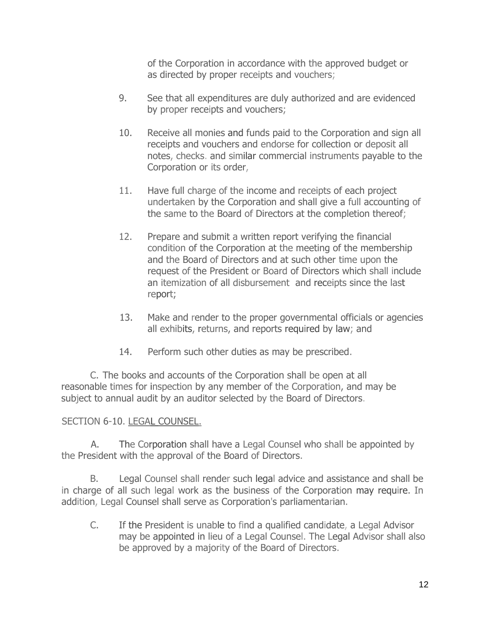of the Corporation in accordance with the approved budget or as directed by proper receipts and vouchers;

- 9. See that all expenditures are duly authorized and are evidenced by proper receipts and vouchers;
- 10. Receive all monies and funds paid to the Corporation and sign all receipts and vouchers and endorse for collection or deposit all notes, checks. and similar commercial instruments payable to the Corporation or its order,
- 11. Have full charge of the income and receipts of each project undertaken by the Corporation and shall give a full accounting of the same to the Board of Directors at the completion thereof;
- 12. Prepare and submit a written report verifying the financial condition of the Corporation at the meeting of the membership and the Board of Directors and at such other time upon the request of the President or Board of Directors which shall include an itemization of all disbursement and receipts since the last report;
- 13. Make and render to the proper governmental officials or agencies all exhibits, returns, and reports required by law; and
- 14. Perform such other duties as may be prescribed.

C. The books and accounts of the Corporation shall be open at all reasonable times for inspection by any member of the Corporation, and may be subject to annual audit by an auditor selected by the Board of Directors.

### SECTION 6-10. LEGAL COUNSEL.

A. The Corporation shall have a Legal Counsel who shall be appointed by the President with the approval of the Board of Directors.

B. Legal Counsel shall render such legal advice and assistance and shall be in charge of all such legal work as the business of the Corporation may require. In addition, Legal Counsel shall serve as Corporation's parliamentarian.

C. If the President is unable to find a qualified candidate, a Legal Advisor may be appointed in lieu of a Legal Counsel. The Legal Advisor shall also be approved by a majority of the Board of Directors.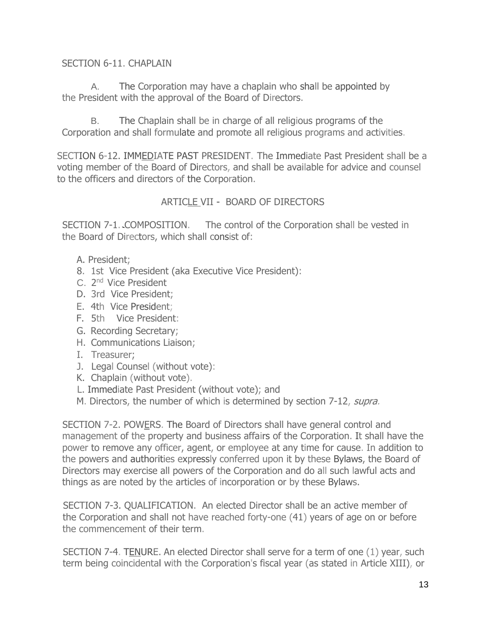### SECTION 6-11. CHAPLAIN

A. The Corporation may have a chaplain who shall be appointed by the President with the approval of the Board of Directors.

B. The Chaplain shall be in charge of all religious programs of the Corporation and shall formulate and promote all religious programs and activities.

SECTION 6-12. IMMEDIATE PAST PRESIDENT. The Immediate Past President shall be a voting member of the Board of Directors, and shall be available for advice and counsel to the officers and directors of the Corporation.

## ARTICLE VII - BOARD OF DIRECTORS

SECTION 7-1. COMPOSITION. The control of the Corporation shall be vested in the Board of Directors, which shall consist of:

- A. President;
- 8. 1st Vice President (aka Executive Vice President):
- C. 2<sup>nd</sup> Vice President
- D. 3rd Vice President;
- E. 4th Vice President;
- F. 5th Vice President:
- G. Recording Secretary;
- H. Communications Liaison;
- I. Treasurer;
- J. Legal Counsel (without vote):
- K. Chaplain (without vote).
- L. Immediate Past President (without vote); and
- M. Directors, the number of which is determined by section 7-12, supra.

SECTION 7-2. POWERS. The Board of Directors shall have general control and management of the property and business affairs of the Corporation. It shall have the power to remove any officer, agent, or employee at any time for cause. In addition to the powers and authorities expressly conferred upon it by these Bylaws, the Board of Directors may exercise all powers of the Corporation and do all such lawful acts and things as are noted by the articles of incorporation or by these Bylaws.

SECTION 7-3. QUALIFICATION. An elected Director shall be an active member of the Corporation and shall not have reached forty-one (41) years of age on or before the commencement of their term.

SECTION 7-4. TENURE. An elected Director shall serve for a term of one (1) year, such term being coincidental with the Corporation's fiscal year (as stated in Article XIII), or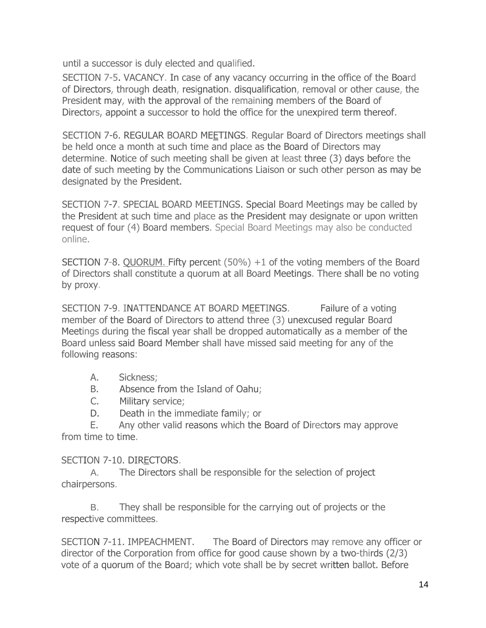until a successor is duly elected and qualified.

SECTION 7-5. VACANCY. In case of any vacancy occurring in the office of the Board of Directors, through death, resignation. disqualification, removal or other cause, the President may, with the approval of the remaining members of the Board of Directors, appoint a successor to hold the office for the unexpired term thereof.

SECTION 7-6. REGULAR BOARD MEETINGS. Regular Board of Directors meetings shall be held once a month at such time and place as the Board of Directors may determine. Notice of such meeting shall be given at least three (3) days before the date of such meeting by the Communications Liaison or such other person as may be designated by the President.

SECTION 7-7. SPECIAL BOARD MEETINGS. Special Board Meetings may be called by the President at such time and place as the President may designate or upon written request of four (4) Board members. Special Board Meetings may also be conducted online.

SECTION 7-8. QUORUM. Fifty percent (50%) +1 of the voting members of the Board of Directors shall constitute a quorum at all Board Meetings. There shall be no voting by proxy.

SECTION 7-9. INATTENDANCE AT BOARD MEETINGS. Failure of a voting member of the Board of Directors to attend three (3) unexcused regular Board Meetings during the fiscal year shall be dropped automatically as a member of the Board unless said Board Member shall have missed said meeting for any of the following reasons:

- A. Sickness;
- B. Absence from the Island of Oahu;
- C. Military service;
- D. Death in the immediate family; or

E. Any other valid reasons which the Board of Directors may approve from time to time.

### SECTION 7-10. DIRECTORS.

A. The Directors shall be responsible for the selection of project chairpersons.

B. They shall be responsible for the carrying out of projects or the respective committees.

SECTION 7-11. IMPEACHMENT. The Board of Directors may remove any officer or director of the Corporation from office for good cause shown by a two-thirds (2/3) vote of a quorum of the Board; which vote shall be by secret written ballot. Before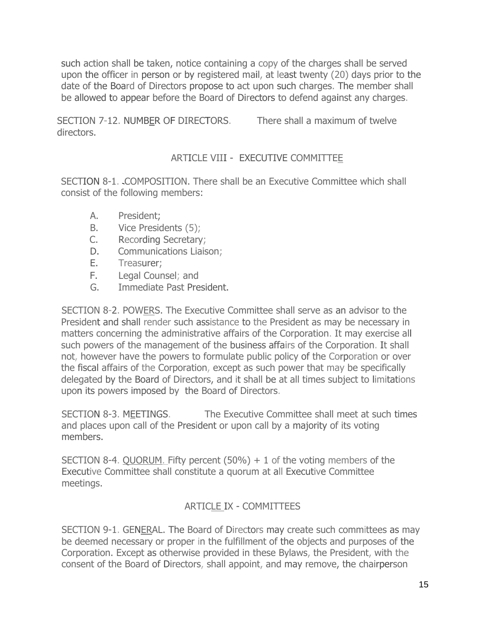such action shall be taken, notice containing a copy of the charges shall be served upon the officer in person or by registered mail, at least twenty (20) days prior to the date of the Board of Directors propose to act upon such charges. The member shall be allowed to appear before the Board of Directors to defend against any charges.

SECTION 7-12. NUMBER OF DIRECTORS. There shall a maximum of twelve directors.

## ARTICLE VIII - EXECUTIVE COMMITTEE

SECTION 8-1. COMPOSITION. There shall be an Executive Committee which shall consist of the following members:

- A. President;
- B. Vice Presidents (5);
- C. Recording Secretary;
- D. Communications Liaison;
- E. Treasurer;
- F. Legal Counsel; and
- G. Immediate Past President.

SECTION 8-2. POWERS. The Executive Committee shall serve as an advisor to the President and shall render such assistance to the President as may be necessary in matters concerning the administrative affairs of the Corporation. It may exercise all such powers of the management of the business affairs of the Corporation. It shall not, however have the powers to formulate public policy of the Corporation or over the fiscal affairs of the Corporation, except as such power that may be specifically delegated by the Board of Directors, and it shall be at all times subject to limitations upon its powers imposed by the Board of Directors.

SECTION 8-3. MEETINGS. The Executive Committee shall meet at such times and places upon call of the President or upon call by a majority of its voting members.

SECTION 8-4. QUORUM. Fifty percent  $(50%) + 1$  of the voting members of the Executive Committee shall constitute a quorum at all Executive Committee meetings.

## ARTICLE IX - COMMITTEES

SECTION 9-1. GENERAL. The Board of Directors may create such committees as may be deemed necessary or proper in the fulfillment of the objects and purposes of the Corporation. Except as otherwise provided in these Bylaws, the President, with the consent of the Board of Directors, shall appoint, and may remove, the chairperson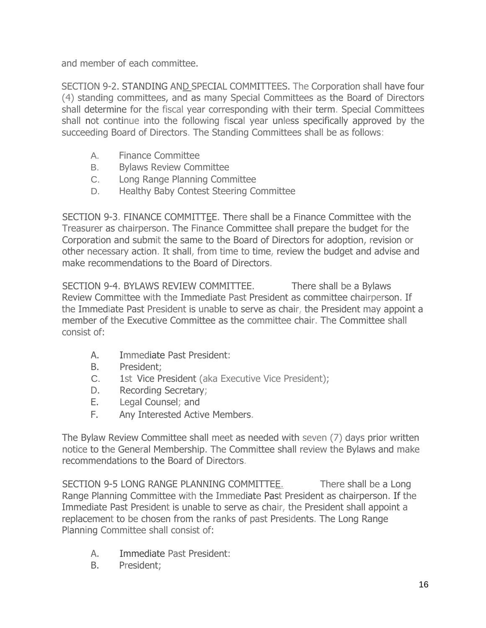and member of each committee.

SECTION 9-2. STANDING AND SPECIAL COMMITTEES. The Corporation shall have four (4) standing committees, and as many Special Committees as the Board of Directors shall determine for the fiscal year corresponding with their term. Special Committees shall not continue into the following fiscal year unless specifically approved by the succeeding Board of Directors. The Standing Committees shall be as follows:

- A. Finance Committee
- B. Bylaws Review Committee
- C. Long Range Planning Committee
- D. Healthy Baby Contest Steering Committee

SECTION 9-3. FINANCE COMMITTEE. There shall be a Finance Committee with the Treasurer as chairperson. The Finance Committee shall prepare the budget for the Corporation and submit the same to the Board of Directors for adoption, revision or other necessary action. It shall, from time to time, review the budget and advise and make recommendations to the Board of Directors.

SECTION 9-4. BYLAWS REVIEW COMMITTEE. There shall be a Bylaws Review Committee with the Immediate Past President as committee chairperson. If the Immediate Past President is unable to serve as chair, the President may appoint a member of the Executive Committee as the committee chair. The Committee shall consist of:

- A. Immediate Past President:
- B. President;
- C. 1st Vice President (aka Executive Vice President);
- D. Recording Secretary;
- E. Legal Counsel; and
- F. Any Interested Active Members.

The Bylaw Review Committee shall meet as needed with seven (7) days prior written notice to the General Membership. The Committee shall review the Bylaws and make recommendations to the Board of Directors.

SECTION 9-5 LONG RANGE PLANNING COMMITTEE. There shall be a Long Range Planning Committee with the Immediate Past President as chairperson. If the Immediate Past President is unable to serve as chair, the President shall appoint a replacement to be chosen from the ranks of past Presidents. The Long Range Planning Committee shall consist of:

- A. Immediate Past President:
- B. President;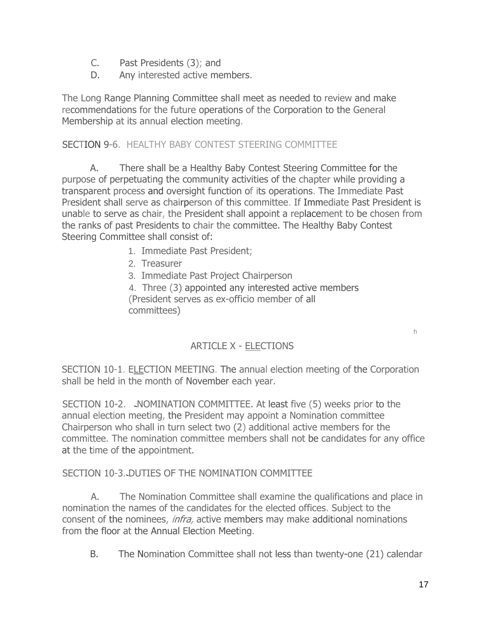- C. Past Presidents (3); and
- D. Any interested active members.

The Long Range Planning Committee shall meet as needed to review and make recommendations for the future operations of the Corporation to the General Membership at its annual election meeting.

## SECTION 9-6. HEALTHY BABY CONTEST STEERING COMMITTEE

A. There shall be a Healthy Baby Contest Steering Committee for the purpose of perpetuating the community activities of the chapter while providing a transparent process and oversight function of its operations. The Immediate Past President shall serve as chairperson of this committee. If Immediate Past President is unable to serve as chair, the President shall appoint a replacement to be chosen from the ranks of past Presidents to chair the committee. The Healthy Baby Contest Steering Committee shall consist of:

- 1. Immediate Past President;
- 2. Treasurer
- 3. Immediate Past Project Chairperson

4. Three (3) appointed any interested active members (President serves as ex-officio member of all committees)

### ARTICLE X - ELECTIONS

SECTION 10-1. ELECTION MEETING. The annual election meeting of the Corporation shall be held in the month of November each year.

SECTION 10-2. NOMINATION COMMITTEE. At least five (5) weeks prior to the annual election meeting, the President may appoint a Nomination committee Chairperson who shall in turn select two (2) additional active members for the committee. The nomination committee members shall not be candidates for any office at the time of the appointment.

### SECTION 10-3. DUTIES OF THE NOMINATION COMMITTEE

A. The Nomination Committee shall examine the qualifications and place in nomination the names of the candidates for the elected offices. Subject to the consent of the nominees, infra, active members may make additional nominations from the floor at the Annual Election Meeting.

B. The Nomination Committee shall not less than twenty-one (21) calendar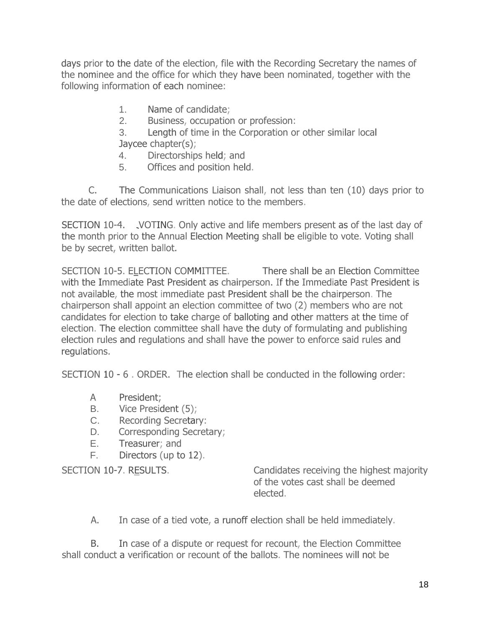days prior to the date of the election, file with the Recording Secretary the names of the nominee and the office for which they have been nominated, together with the following information of each nominee:

1. Name of candidate;

2. Business, occupation or profession:

3. Length of time in the Corporation or other similar local Jaycee chapter(s);

- 4. Directorships held; and
- 5. Offices and position held.

C. The Communications Liaison shall, not less than ten (10) days prior to the date of elections, send written notice to the members.

SECTION 10-4. VOTING. Only active and life members present as of the last day of the month prior to the Annual Election Meeting shall be eligible to vote. Voting shall be by secret, written ballot.

SECTION 10-5. ELECTION COMMITTEE. There shall be an Election Committee with the Immediate Past President as chairperson. If the Immediate Past President is not available, the most immediate past President shall be the chairperson. The chairperson shall appoint an election committee of two (2) members who are not candidates for election to take charge of balloting and other matters at the time of election. The election committee shall have the duty of formulating and publishing election rules and regulations and shall have the power to enforce said rules and regulations.

SECTION 10 - 6 . ORDER. The election shall be conducted in the following order:

- A President;
- B. Vice President (5);
- C. Recording Secretary:
- D. Corresponding Secretary;
- E. Treasurer; and
- F. Directors (up to 12).

SECTION 10-7. RESULTS. Candidates receiving the highest majority of the votes cast shall be deemed elected.

A. In case of a tied vote, a runoff election shall be held immediately.

B. In case of a dispute or request for recount, the Election Committee shall conduct a verification or recount of the ballots. The nominees will not be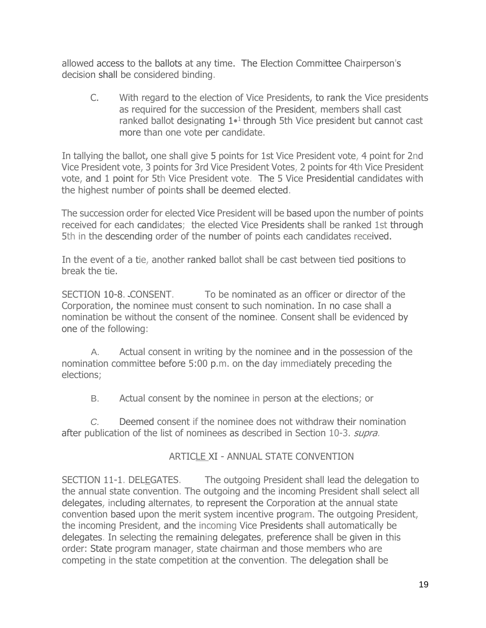allowed access to the ballots at any time. The Election Committee Chairperson's decision shall be considered binding.

C. With regard to the election of Vice Presidents, to rank the Vice presidents as required for the succession of the President, members shall cast ranked ballot designating  $1 \cdot 1$  through 5th Vice president but cannot cast more than one vote per candidate.

In tallying the ballot, one shall give 5 points for 1st Vice President vote, 4 point for 2nd Vice President vote, 3 points for 3rd Vice President Votes, 2 points for 4th Vice President vote, and 1 point for 5th Vice President vote. The 5 Vice Presidential candidates with the highest number of points shall be deemed elected.

The succession order for elected Vice President will be based upon the number of points received for each candidates; the elected Vice Presidents shall be ranked 1st through 5th in the descending order of the number of points each candidates received.

In the event of a tie, another ranked ballot shall be cast between tied positions to break the tie.

SECTION 10-8. CONSENT. To be nominated as an officer or director of the Corporation, the nominee must consent to such nomination. In no case shall a nomination be without the consent of the nominee. Consent shall be evidenced by one of the following:

A. Actual consent in writing by the nominee and in the possession of the nomination committee before 5:00 p.m. on the day immediately preceding the elections;

B. Actual consent by the nominee in person at the elections; or

*C.* Deemed consent if the nominee does not withdraw their nomination after publication of the list of nominees as described in Section 10-3. *supra.* 

## ARTICLE XI - ANNUAL STATE CONVENTION

SECTION 11-1. DELEGATES. The outgoing President shall lead the delegation to the annual state convention. The outgoing and the incoming President shall select all delegates, including alternates, to represent the Corporation at the annual state convention based upon the merit system incentive program. The outgoing President, the incoming President, and the incoming Vice Presidents shall automatically be delegates. In selecting the remaining delegates, preference shall be given in this order: State program manager, state chairman and those members who are competing in the state competition at the convention. The delegation shall be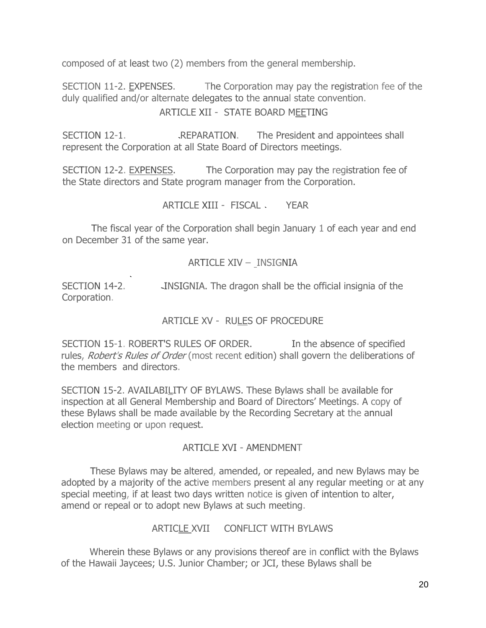composed of at least two (2) members from the general membership.

SECTION 11-2. EXPENSES. The Corporation may pay the registration fee of the duly qualified and/or alternate delegates to the annual state convention.

### ARTICLE XII - STATE BOARD MEETING

SECTION 12-1. REPARATION. The President and appointees shall represent the Corporation at all State Board of Directors meetings.

SECTION 12-2. EXPENSES. The Corporation may pay the registration fee of the State directors and State program manager from the Corporation.

ARTICLE XIII - FISCAL YEAR

The fiscal year of the Corporation shall begin January 1 of each year and end on December 31 of the same year.

### ARTICLE XIV – INSIGNIA

SECTION 14-2. INSIGNIA. The dragon shall be the official insignia of the Corporation.

### ARTICLE XV - RULES OF PROCEDURE

SECTION 15-1. ROBERT'S RULES OF ORDER. In the absence of specified rules, *Robert's Rules of Order* (most recent edition) shall govern the deliberations of the members and directors.

SECTION 15-2. AVAILABILITY OF BYLAWS. These Bylaws shall be available for inspection at all General Membership and Board of Directors' Meetings. A copy of these Bylaws shall be made available by the Recording Secretary at the annual election meeting or upon request.

#### ARTICLE XVI - AMENDMENT

These Bylaws may be altered, amended, or repealed, and new Bylaws may be adopted by a majority of the active members present al any regular meeting or at any special meeting, if at least two days written notice is given of intention to alter, amend or repeal or to adopt new Bylaws at such meeting.

### ARTICLE XVII CONFLICT WITH BYLAWS

Wherein these Bylaws or any provisions thereof are in conflict with the Bylaws of the Hawaii Jaycees; U.S. Junior Chamber; or JCI, these Bylaws shall be